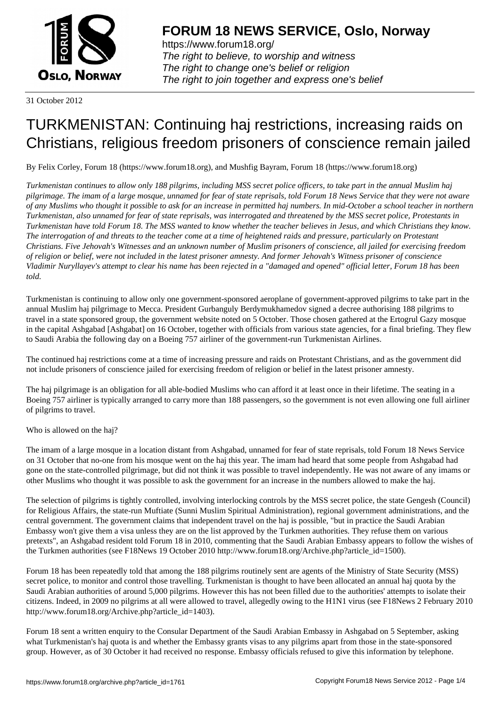

https://www.forum18.org/ The right to believe, to worship and witness The right to change one's belief or religion [The right to join together a](https://www.forum18.org/)nd express one's belief

31 October 2012

# [TURKMENISTA](https://www.forum18.org)N: Continuing haj restrictions, increasing raids on Christians, religious freedom prisoners of conscience remain jailed

By Felix Corley, Forum 18 (https://www.forum18.org), and Mushfig Bayram, Forum 18 (https://www.forum18.org)

*Turkmenistan continues to allow only 188 pilgrims, including MSS secret police officers, to take part in the annual Muslim haj pilgrimage. The imam of a large mosque, unnamed for fear of state reprisals, told Forum 18 News Service that they were not aware of any Muslims who thought it possible to ask for an increase in permitted haj numbers. In mid-October a school teacher in northern Turkmenistan, also unnamed for fear of state reprisals, was interrogated and threatened by the MSS secret police, Protestants in Turkmenistan have told Forum 18. The MSS wanted to know whether the teacher believes in Jesus, and which Christians they know. The interrogation of and threats to the teacher come at a time of heightened raids and pressure, particularly on Protestant Christians. Five Jehovah's Witnesses and an unknown number of Muslim prisoners of conscience, all jailed for exercising freedom of religion or belief, were not included in the latest prisoner amnesty. And former Jehovah's Witness prisoner of conscience Vladimir Nuryllayev's attempt to clear his name has been rejected in a "damaged and opened" official letter, Forum 18 has been told.*

Turkmenistan is continuing to allow only one government-sponsored aeroplane of government-approved pilgrims to take part in the annual Muslim haj pilgrimage to Mecca. President Gurbanguly Berdymukhamedov signed a decree authorising 188 pilgrims to travel in a state sponsored group, the government website noted on 5 October. Those chosen gathered at the Ertogrul Gazy mosque in the capital Ashgabad [Ashgabat] on 16 October, together with officials from various state agencies, for a final briefing. They flew to Saudi Arabia the following day on a Boeing 757 airliner of the government-run Turkmenistan Airlines.

The continued haj restrictions come at a time of increasing pressure and raids on Protestant Christians, and as the government did not include prisoners of conscience jailed for exercising freedom of religion or belief in the latest prisoner amnesty.

The haj pilgrimage is an obligation for all able-bodied Muslims who can afford it at least once in their lifetime. The seating in a Boeing 757 airliner is typically arranged to carry more than 188 passengers, so the government is not even allowing one full airliner of pilgrims to travel.

Who is allowed on the haj?

The imam of a large mosque in a location distant from Ashgabad, unnamed for fear of state reprisals, told Forum 18 News Service on 31 October that no-one from his mosque went on the haj this year. The imam had heard that some people from Ashgabad had gone on the state-controlled pilgrimage, but did not think it was possible to travel independently. He was not aware of any imams or other Muslims who thought it was possible to ask the government for an increase in the numbers allowed to make the haj.

The selection of pilgrims is tightly controlled, involving interlocking controls by the MSS secret police, the state Gengesh (Council) for Religious Affairs, the state-run Muftiate (Sunni Muslim Spiritual Administration), regional government administrations, and the central government. The government claims that independent travel on the haj is possible, "but in practice the Saudi Arabian Embassy won't give them a visa unless they are on the list approved by the Turkmen authorities. They refuse them on various pretexts", an Ashgabad resident told Forum 18 in 2010, commenting that the Saudi Arabian Embassy appears to follow the wishes of the Turkmen authorities (see F18News 19 October 2010 http://www.forum18.org/Archive.php?article\_id=1500).

Forum 18 has been repeatedly told that among the 188 pilgrims routinely sent are agents of the Ministry of State Security (MSS) secret police, to monitor and control those travelling. Turkmenistan is thought to have been allocated an annual haj quota by the Saudi Arabian authorities of around 5,000 pilgrims. However this has not been filled due to the authorities' attempts to isolate their citizens. Indeed, in 2009 no pilgrims at all were allowed to travel, allegedly owing to the H1N1 virus (see F18News 2 February 2010 http://www.forum18.org/Archive.php?article\_id=1403).

Forum 18 sent a written enquiry to the Consular Department of the Saudi Arabian Embassy in Ashgabad on 5 September, asking what Turkmenistan's haj quota is and whether the Embassy grants visas to any pilgrims apart from those in the state-sponsored group. However, as of 30 October it had received no response. Embassy officials refused to give this information by telephone.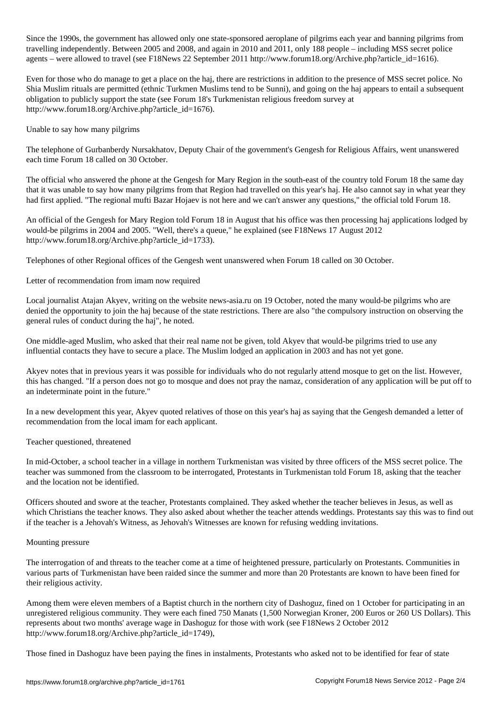$S$ ince the government has allowed one state-sponsored aeroplane of pilgrims each year and banning pilgrims from travelling independently. Between 2005 and 2008, and again in 2010 and 2011, only 188 people – including MSS secret police agents – were allowed to travel (see F18News 22 September 2011 http://www.forum18.org/Archive.php?article\_id=1616).

Even for those who do manage to get a place on the haj, there are restrictions in addition to the presence of MSS secret police. No Shia Muslim rituals are permitted (ethnic Turkmen Muslims tend to be Sunni), and going on the haj appears to entail a subsequent obligation to publicly support the state (see Forum 18's Turkmenistan religious freedom survey at http://www.forum18.org/Archive.php?article\_id=1676).

Unable to say how many pilgrims

The telephone of Gurbanberdy Nursakhatov, Deputy Chair of the government's Gengesh for Religious Affairs, went unanswered each time Forum 18 called on 30 October.

The official who answered the phone at the Gengesh for Mary Region in the south-east of the country told Forum 18 the same day that it was unable to say how many pilgrims from that Region had travelled on this year's haj. He also cannot say in what year they had first applied. "The regional mufti Bazar Hojaev is not here and we can't answer any questions," the official told Forum 18.

An official of the Gengesh for Mary Region told Forum 18 in August that his office was then processing haj applications lodged by would-be pilgrims in 2004 and 2005. "Well, there's a queue," he explained (see F18News 17 August 2012 http://www.forum18.org/Archive.php?article\_id=1733).

Telephones of other Regional offices of the Gengesh went unanswered when Forum 18 called on 30 October.

Letter of recommendation from imam now required

Local journalist Atajan Akyev, writing on the website news-asia.ru on 19 October, noted the many would-be pilgrims who are denied the opportunity to join the haj because of the state restrictions. There are also "the compulsory instruction on observing the general rules of conduct during the haj", he noted.

One middle-aged Muslim, who asked that their real name not be given, told Akyev that would-be pilgrims tried to use any influential contacts they have to secure a place. The Muslim lodged an application in 2003 and has not yet gone.

Akyev notes that in previous years it was possible for individuals who do not regularly attend mosque to get on the list. However, this has changed. "If a person does not go to mosque and does not pray the namaz, consideration of any application will be put off to an indeterminate point in the future."

In a new development this year, Akyev quoted relatives of those on this year's haj as saying that the Gengesh demanded a letter of recommendation from the local imam for each applicant.

Teacher questioned, threatened

In mid-October, a school teacher in a village in northern Turkmenistan was visited by three officers of the MSS secret police. The teacher was summoned from the classroom to be interrogated, Protestants in Turkmenistan told Forum 18, asking that the teacher and the location not be identified.

Officers shouted and swore at the teacher, Protestants complained. They asked whether the teacher believes in Jesus, as well as which Christians the teacher knows. They also asked about whether the teacher attends weddings. Protestants say this was to find out if the teacher is a Jehovah's Witness, as Jehovah's Witnesses are known for refusing wedding invitations.

#### Mounting pressure

The interrogation of and threats to the teacher come at a time of heightened pressure, particularly on Protestants. Communities in various parts of Turkmenistan have been raided since the summer and more than 20 Protestants are known to have been fined for their religious activity.

Among them were eleven members of a Baptist church in the northern city of Dashoguz, fined on 1 October for participating in an unregistered religious community. They were each fined 750 Manats (1,500 Norwegian Kroner, 200 Euros or 260 US Dollars). This represents about two months' average wage in Dashoguz for those with work (see F18News 2 October 2012 http://www.forum18.org/Archive.php?article\_id=1749),

Those fined in Dashoguz have been paying the fines in instalments, Protestants who asked not to be identified for fear of state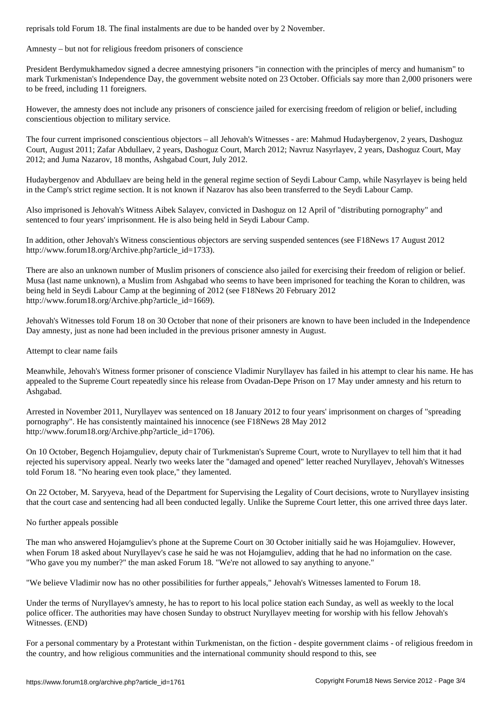#### Amnesty – but not for religious freedom prisoners of conscience

President Berdymukhamedov signed a decree amnestying prisoners "in connection with the principles of mercy and humanism" to mark Turkmenistan's Independence Day, the government website noted on 23 October. Officials say more than 2,000 prisoners were to be freed, including 11 foreigners.

However, the amnesty does not include any prisoners of conscience jailed for exercising freedom of religion or belief, including conscientious objection to military service.

The four current imprisoned conscientious objectors – all Jehovah's Witnesses - are: Mahmud Hudaybergenov, 2 years, Dashoguz Court, August 2011; Zafar Abdullaev, 2 years, Dashoguz Court, March 2012; Navruz Nasyrlayev, 2 years, Dashoguz Court, May 2012; and Juma Nazarov, 18 months, Ashgabad Court, July 2012.

Hudaybergenov and Abdullaev are being held in the general regime section of Seydi Labour Camp, while Nasyrlayev is being held in the Camp's strict regime section. It is not known if Nazarov has also been transferred to the Seydi Labour Camp.

Also imprisoned is Jehovah's Witness Aibek Salayev, convicted in Dashoguz on 12 April of "distributing pornography" and sentenced to four years' imprisonment. He is also being held in Seydi Labour Camp.

In addition, other Jehovah's Witness conscientious objectors are serving suspended sentences (see F18News 17 August 2012 http://www.forum18.org/Archive.php?article\_id=1733).

There are also an unknown number of Muslim prisoners of conscience also jailed for exercising their freedom of religion or belief. Musa (last name unknown), a Muslim from Ashgabad who seems to have been imprisoned for teaching the Koran to children, was being held in Seydi Labour Camp at the beginning of 2012 (see F18News 20 February 2012 http://www.forum18.org/Archive.php?article\_id=1669).

Jehovah's Witnesses told Forum 18 on 30 October that none of their prisoners are known to have been included in the Independence Day amnesty, just as none had been included in the previous prisoner amnesty in August.

### Attempt to clear name fails

Meanwhile, Jehovah's Witness former prisoner of conscience Vladimir Nuryllayev has failed in his attempt to clear his name. He has appealed to the Supreme Court repeatedly since his release from Ovadan-Depe Prison on 17 May under amnesty and his return to Ashgabad.

Arrested in November 2011, Nuryllayev was sentenced on 18 January 2012 to four years' imprisonment on charges of "spreading pornography". He has consistently maintained his innocence (see F18News 28 May 2012 http://www.forum18.org/Archive.php?article\_id=1706).

On 10 October, Begench Hojamguliev, deputy chair of Turkmenistan's Supreme Court, wrote to Nuryllayev to tell him that it had rejected his supervisory appeal. Nearly two weeks later the "damaged and opened" letter reached Nuryllayev, Jehovah's Witnesses told Forum 18. "No hearing even took place," they lamented.

On 22 October, M. Saryyeva, head of the Department for Supervising the Legality of Court decisions, wrote to Nuryllayev insisting that the court case and sentencing had all been conducted legally. Unlike the Supreme Court letter, this one arrived three days later.

## No further appeals possible

The man who answered Hojamguliev's phone at the Supreme Court on 30 October initially said he was Hojamguliev. However, when Forum 18 asked about Nuryllayev's case he said he was not Hojamguliev, adding that he had no information on the case. "Who gave you my number?" the man asked Forum 18. "We're not allowed to say anything to anyone."

"We believe Vladimir now has no other possibilities for further appeals," Jehovah's Witnesses lamented to Forum 18.

Under the terms of Nuryllayev's amnesty, he has to report to his local police station each Sunday, as well as weekly to the local police officer. The authorities may have chosen Sunday to obstruct Nuryllayev meeting for worship with his fellow Jehovah's Witnesses. (END)

For a personal commentary by a Protestant within Turkmenistan, on the fiction - despite government claims - of religious freedom in the country, and how religious communities and the international community should respond to this, see